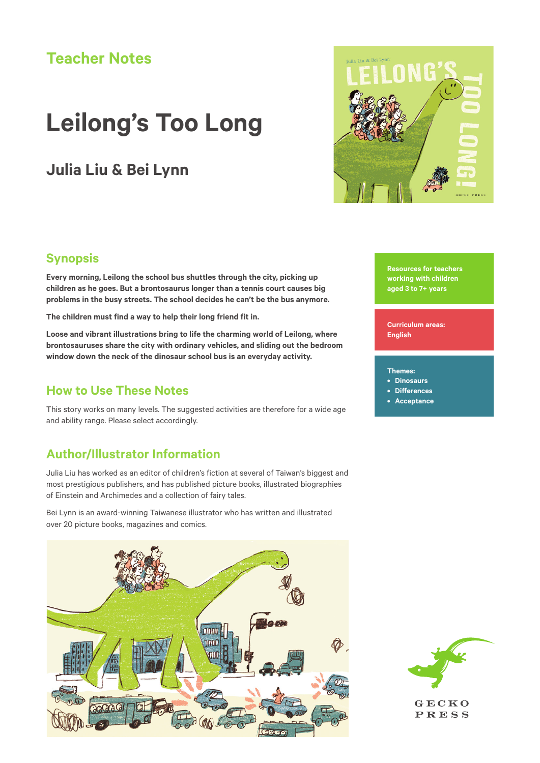# **Teacher Notes**

# **Leilong's Too Long**

# **Julia Liu & Bei Lynn**



## **Synopsis**

**Every morning, Leilong the school bus shuttles through the city, picking up children as he goes. But a brontosaurus longer than a tennis court causes big problems in the busy streets. The school decides he can't be the bus anymore.**

**The children must find a way to help their long friend fit in.**

**Loose and vibrant illustrations bring to life the charming world of Leilong, where brontosauruses share the city with ordinary vehicles, and sliding out the bedroom window down the neck of the dinosaur school bus is an everyday activity.**

### **How to Use These Notes**

This story works on many levels. The suggested activities are therefore for a wide age and ability range. Please select accordingly.

## **Author/Illustrator Information**

Julia Liu has worked as an editor of children's fiction at several of Taiwan's biggest and most prestigious publishers, and has published picture books, illustrated biographies of Einstein and Archimedes and a collection of fairy tales.

Bei Lynn is an award-winning Taiwanese illustrator who has written and illustrated over 20 picture books, magazines and comics.



**Resources for teachers working with children aged 3 to 7+ years** 

**Curriculum areas: English**

#### **Themes:**

- **• Dinosaurs**
- **• Differences**
- **• Acceptance**



GECKO **PRESS**